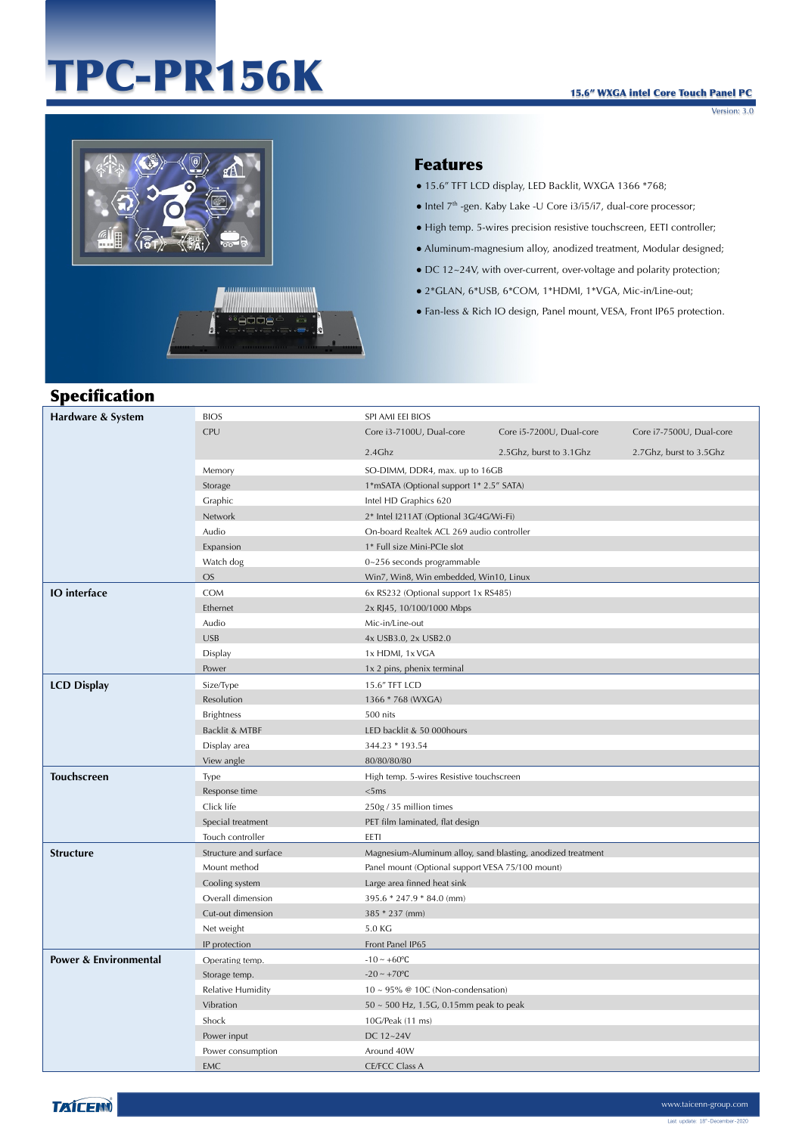# TPC-PR156K

Version: 3.0





#### Features

- 15.6" TFT LCD display, LED Backlit, WXGA 1366 \*768;
- $\bullet$  Intel  $7<sup>th</sup>$ -gen. Kaby Lake -U Core i3/i5/i7, dual-core processor;
- High temp. 5-wires precision resistive touchscreen, EETI controller;
- Aluminum-magnesium alloy, anodized treatment, Modular designed;
- DC 12~24V, with over-current, over-voltage and polarity protection;
- 2\*GLAN, 6\*USB, 6\*COM, 1\*HDMI, 1\*VGA, Mic-in/Line-out;
- Fan-less & Rich IO design, Panel mount, VESA, Front IP65 protection.

## Specification

| Hardware & System                | <b>BIOS</b>           | SPI AMI EEI BIOS                                            |                                           |                          |  |
|----------------------------------|-----------------------|-------------------------------------------------------------|-------------------------------------------|--------------------------|--|
|                                  | CPU                   | Core i3-7100U, Dual-core                                    | Core i5-7200U, Dual-core                  | Core i7-7500U, Dual-core |  |
|                                  |                       | 2.4Ghz                                                      | 2.5Ghz, burst to 3.1Ghz                   | 2.7Ghz, burst to 3.5Ghz  |  |
|                                  | Memory                | SO-DIMM, DDR4, max. up to 16GB                              |                                           |                          |  |
|                                  | Storage               | 1*mSATA (Optional support 1* 2.5" SATA)                     |                                           |                          |  |
|                                  | Graphic               | Intel HD Graphics 620                                       |                                           |                          |  |
|                                  | Network               | 2* Intel I211AT (Optional 3G/4G/Wi-Fi)                      |                                           |                          |  |
|                                  | Audio                 |                                                             | On-board Realtek ACL 269 audio controller |                          |  |
|                                  | Expansion             | 1* Full size Mini-PCIe slot                                 |                                           |                          |  |
|                                  | Watch dog             | $0 - 256$ seconds programmable                              |                                           |                          |  |
|                                  | <b>OS</b>             | Win7, Win8, Win embedded, Win10, Linux                      |                                           |                          |  |
| <b>IO</b> interface              | <b>COM</b>            | 6x RS232 (Optional support 1x RS485)                        |                                           |                          |  |
|                                  | Ethernet              | 2x RJ45, 10/100/1000 Mbps                                   |                                           |                          |  |
|                                  | Audio                 | Mic-in/Line-out                                             |                                           |                          |  |
|                                  | <b>USB</b>            | 4x USB3.0, 2x USB2.0                                        |                                           |                          |  |
|                                  | Display               | 1x HDMI, 1x VGA                                             |                                           |                          |  |
|                                  | Power                 | 1x 2 pins, phenix terminal                                  |                                           |                          |  |
| <b>LCD Display</b>               | Size/Type             | 15.6" TFT LCD                                               |                                           |                          |  |
|                                  | Resolution            | 1366 * 768 (WXGA)                                           |                                           |                          |  |
|                                  | <b>Brightness</b>     | 500 nits                                                    |                                           |                          |  |
|                                  | Backlit & MTBF        | LED backlit & 50 000hours                                   |                                           |                          |  |
|                                  | Display area          | 344.23 * 193.54                                             |                                           |                          |  |
|                                  | View angle            | 80/80/80/80                                                 |                                           |                          |  |
| <b>Touchscreen</b>               | Type                  | High temp. 5-wires Resistive touchscreen                    |                                           |                          |  |
|                                  | Response time         | <5ms                                                        |                                           |                          |  |
|                                  | Click life            | 250g / 35 million times                                     |                                           |                          |  |
|                                  | Special treatment     | PET film laminated, flat design                             |                                           |                          |  |
|                                  | Touch controller      | EETI                                                        |                                           |                          |  |
| <b>Structure</b>                 | Structure and surface | Magnesium-Aluminum alloy, sand blasting, anodized treatment |                                           |                          |  |
|                                  | Mount method          | Panel mount (Optional support VESA 75/100 mount)            |                                           |                          |  |
|                                  | Cooling system        | Large area finned heat sink                                 |                                           |                          |  |
|                                  | Overall dimension     | 395.6 * 247.9 * 84.0 (mm)                                   |                                           |                          |  |
|                                  | Cut-out dimension     | $385 * 237$ (mm)                                            |                                           |                          |  |
|                                  | Net weight            | 5.0 KG                                                      |                                           |                          |  |
|                                  | IP protection         | Front Panel IP65                                            |                                           |                          |  |
| <b>Power &amp; Environmental</b> | Operating temp.       | $-10 - +60$ °C                                              |                                           |                          |  |
|                                  | Storage temp.         | $-20 \sim +70$ °C                                           |                                           |                          |  |
|                                  | Relative Humidity     | $10 \sim 95\%$ @ 10C (Non-condensation)                     |                                           |                          |  |
|                                  | Vibration             | 50 ~ 500 Hz, 1.5G, 0.15mm peak to peak                      |                                           |                          |  |
|                                  | Shock                 | 10G/Peak (11 ms)                                            |                                           |                          |  |
|                                  | Power input           | DC 12~24V                                                   |                                           |                          |  |
|                                  | Power consumption     | Around 40W                                                  |                                           |                          |  |
|                                  | <b>EMC</b>            | <b>CE/FCC Class A</b>                                       |                                           |                          |  |